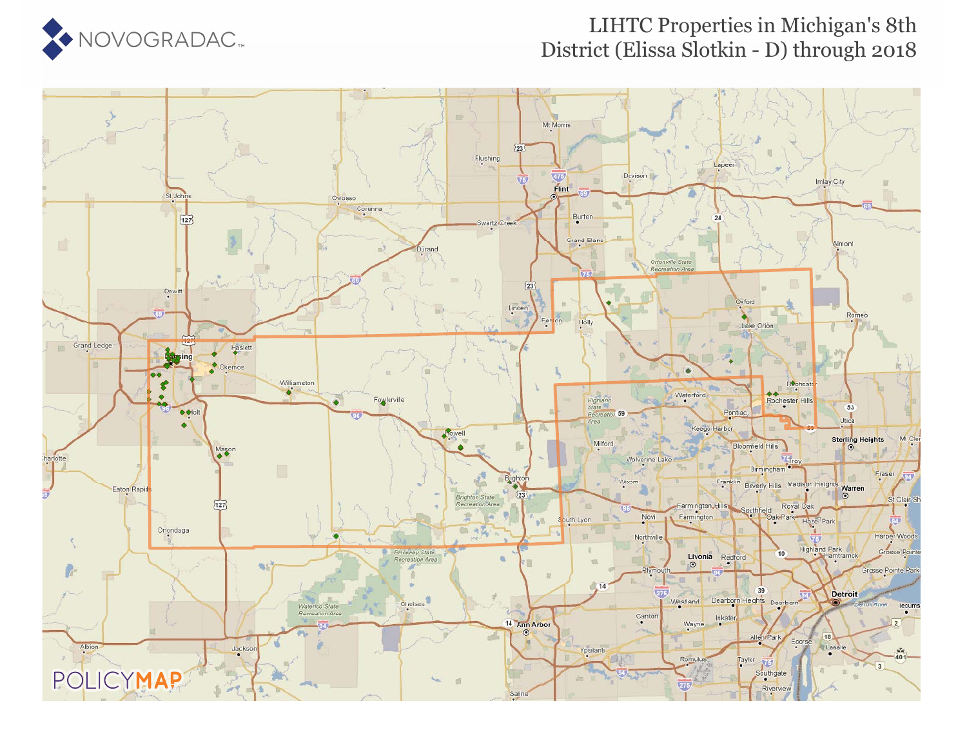

### LIHTC Properties in Michigan's 8th District (Elissa Slotkin - D) through 2018

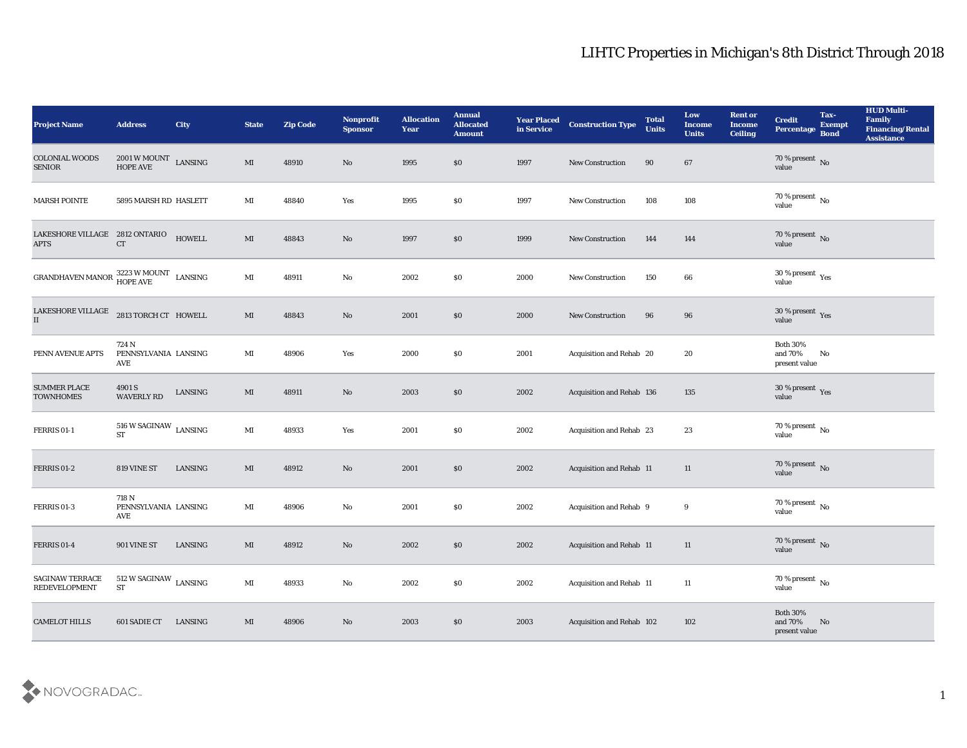| <b>Project Name</b>                                         | <b>Address</b>                                      | City    | <b>State</b>           | <b>Zip Code</b> | Nonprofit<br><b>Sponsor</b> | <b>Allocation</b><br><b>Year</b> | <b>Annual</b><br><b>Allocated</b><br><b>Amount</b> | <b>Year Placed</b><br>in Service | <b>Construction Type</b>        | <b>Total</b><br><b>Units</b> | Low<br><b>Income</b><br><b>Units</b> | <b>Rent or</b><br><b>Income</b><br><b>Ceiling</b> | <b>Credit</b><br>Percentage                 | Tax-<br><b>Exempt</b><br><b>Bond</b> | <b>HUD Multi-</b><br>Family<br><b>Financing/Rental</b><br><b>Assistance</b> |
|-------------------------------------------------------------|-----------------------------------------------------|---------|------------------------|-----------------|-----------------------------|----------------------------------|----------------------------------------------------|----------------------------------|---------------------------------|------------------------------|--------------------------------------|---------------------------------------------------|---------------------------------------------|--------------------------------------|-----------------------------------------------------------------------------|
| <b>COLONIAL WOODS</b><br><b>SENIOR</b>                      | $2001\,\mathrm{W}\,\mathrm{MOUNT}$ LANSING HOPE AVE |         | MI                     | 48910           | No                          | 1995                             | \$0                                                | 1997                             | New Construction                | 90                           | 67                                   |                                                   | $70\,\%$ present $\,$ No $\,$ value         |                                      |                                                                             |
| <b>MARSH POINTE</b>                                         | 5895 MARSH RD HASLETT                               |         | MI                     | 48840           | Yes                         | 1995                             | \$0                                                | 1997                             | <b>New Construction</b>         | 108                          | 108                                  |                                                   | 70 % present $\,$ No $\,$<br>value          |                                      |                                                                             |
| LAKESHORE VILLAGE 2812 ONTARIO<br><b>APTS</b>               | <b>CT</b>                                           | HOWELL  | $\mathbf{M}$           | 48843           | No                          | 1997                             | $\$0$                                              | 1999                             | New Construction                | 144                          | 144                                  |                                                   | $70\,\%$ present $\,$ No value              |                                      |                                                                             |
| GRANDHAVEN MANOR $\stackrel{3223}{\text{HOPE AVE}}$ LANSING |                                                     |         | $\mathbf{M}$ I         | 48911           | $\rm\thinspace No$          | 2002                             | \$0                                                | 2000                             | New Construction                | 150                          | 66                                   |                                                   | $30\,\%$ present $\,$ Yes value             |                                      |                                                                             |
| LAKESHORE VILLAGE<br>II                                     | 2813 TORCH CT HOWELL                                |         | MI                     | 48843           | No                          | 2001                             | \$0                                                | 2000                             | <b>New Construction</b>         | 96                           | 96                                   |                                                   | $30\,\%$ present $\,$ Yes value             |                                      |                                                                             |
| PENN AVENUE APTS                                            | 724 N<br>PENNSYLVANIA LANSING<br>AVE                |         | MI                     | 48906           | Yes                         | 2000                             | \$0                                                | 2001                             | Acquisition and Rehab 20        |                              | 20                                   |                                                   | <b>Both 30%</b><br>and 70%<br>present value | No                                   |                                                                             |
| <b>SUMMER PLACE</b><br><b>TOWNHOMES</b>                     | 4901 S<br><b>WAVERLY RD</b>                         | LANSING | MI                     | 48911           | No                          | 2003                             | \$0                                                | 2002                             | Acquisition and Rehab 136       |                              | 135                                  |                                                   | $30\,\%$ present $\,$ Yes value             |                                      |                                                                             |
| <b>FERRIS 01-1</b>                                          | $516$ W SAGINAW $\,$ LANSING<br><b>ST</b>           |         | $\mathbf{M}$ I         | 48933           | Yes                         | 2001                             | \$0                                                | 2002                             | Acquisition and Rehab 23        |                              | 23                                   |                                                   | 70 % present $\,$ No $\,$<br>value          |                                      |                                                                             |
| <b>FERRIS 01-2</b>                                          | 819 VINE ST                                         | LANSING | MI                     | 48912           | No                          | 2001                             | \$0                                                | 2002                             | <b>Acquisition and Rehab 11</b> |                              | 11                                   |                                                   | $70\,\%$ present $\,$ No value              |                                      |                                                                             |
| FERRIS 01-3                                                 | 718 N<br>PENNSYLVANIA LANSING<br>AVE                |         | MI                     | 48906           | No                          | 2001                             | \$0                                                | 2002                             | Acquisition and Rehab 9         |                              | 9                                    |                                                   | $70\,\%$ present $\,$ No value              |                                      |                                                                             |
| <b>FERRIS 01-4</b>                                          | 901 VINE ST                                         | LANSING | MI                     | 48912           | No                          | 2002                             | \$0                                                | 2002                             | Acquisition and Rehab 11        |                              | 11                                   |                                                   | 70 % present No<br>value                    |                                      |                                                                             |
| SAGINAW TERRACE<br><b>REDEVELOPMENT</b>                     | $512$ W SAGINAW $\,$ LANSING<br>ST                  |         | $\mathbf{M}\mathbf{I}$ | 48933           | $\rm\thinspace No$          | 2002                             | \$0                                                | 2002                             | Acquisition and Rehab 11        |                              | 11                                   |                                                   | 70 % present $\,$ No $\,$<br>value          |                                      |                                                                             |
| <b>CAMELOT HILLS</b>                                        | 601 SADIE CT                                        | LANSING | MI                     | 48906           | $\rm\thinspace No$          | 2003                             | $\$0$                                              | 2003                             | Acquisition and Rehab 102       |                              | 102                                  |                                                   | Both $30\%$<br>and 70%<br>present value     | No                                   |                                                                             |

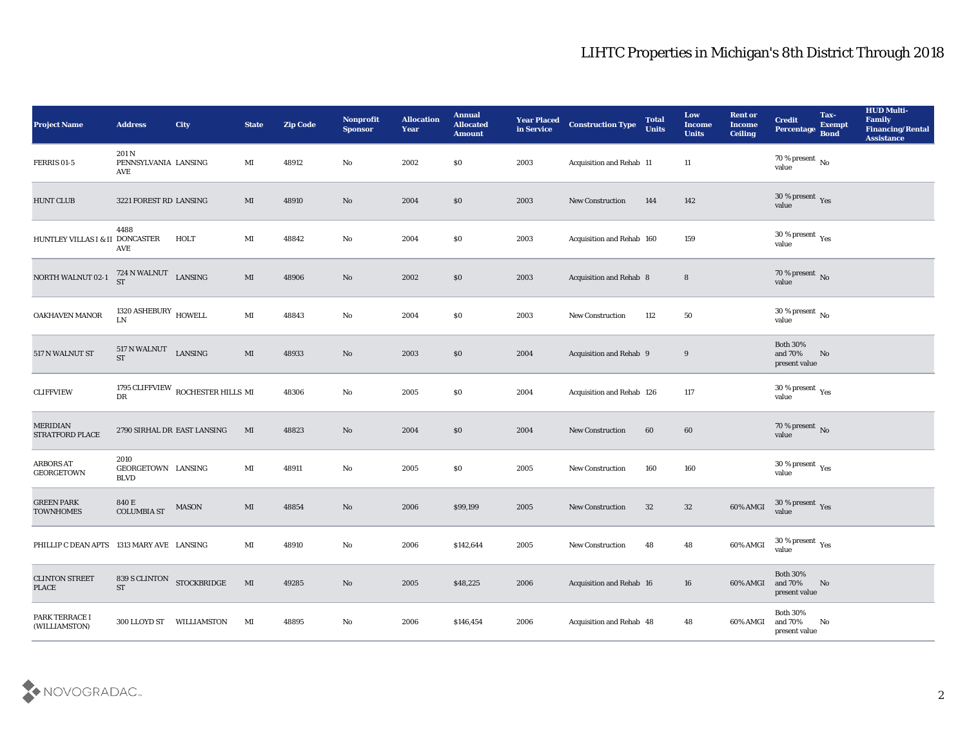| <b>Project Name</b>                       | <b>Address</b>                            | City                              | <b>State</b>           | <b>Zip Code</b> | Nonprofit<br><b>Sponsor</b> | <b>Allocation</b><br><b>Year</b> | <b>Annual</b><br><b>Allocated</b><br><b>Amount</b> | <b>Year Placed</b><br>in Service | <b>Construction Type</b>       | <b>Total</b><br><b>Units</b> | Low<br>Income<br><b>Units</b> | <b>Rent or</b><br><b>Income</b><br><b>Ceiling</b> | <b>Credit</b><br>Percentage                   | Tax-<br><b>Exempt</b><br><b>Bond</b> | <b>HUD Multi-</b><br>Family<br><b>Financing/Rental</b><br><b>Assistance</b> |
|-------------------------------------------|-------------------------------------------|-----------------------------------|------------------------|-----------------|-----------------------------|----------------------------------|----------------------------------------------------|----------------------------------|--------------------------------|------------------------------|-------------------------------|---------------------------------------------------|-----------------------------------------------|--------------------------------------|-----------------------------------------------------------------------------|
| <b>FERRIS 01-5</b>                        | 201 N<br>PENNSYLVANIA LANSING<br>AVE      |                                   | MI                     | 48912           | No                          | 2002                             | $\$0$                                              | 2003                             | Acquisition and Rehab 11       |                              | 11                            |                                                   | $70\,\%$ present $\,$ No value                |                                      |                                                                             |
| <b>HUNT CLUB</b>                          | 3221 FOREST RD LANSING                    |                                   | MI                     | 48910           | No                          | 2004                             | \$0                                                | 2003                             | <b>New Construction</b>        | 144                          | 142                           |                                                   | $30\,\%$ present $\,$ Yes value               |                                      |                                                                             |
| HUNTLEY VILLAS I & II DONCASTER           | 4488<br>AVE                               | HOLT                              | MI                     | 48842           | No                          | 2004                             | \$0                                                | 2003                             | Acquisition and Rehab 160      |                              | 159                           |                                                   | $30\,\%$ present $\,$ Yes value               |                                      |                                                                             |
| NORTH WALNUT 02-1                         | 724 N WALNUT LANSING<br><b>ST</b>         |                                   | $\mathbf{M}\mathbf{I}$ | 48906           | No                          | 2002                             | \$0\$                                              | 2003                             | <b>Acquisition and Rehab 8</b> |                              | $8\phantom{1}$                |                                                   | $70\,\%$ present $\,$ No value                |                                      |                                                                             |
| OAKHAVEN MANOR                            | 1320 ASHEBURY $\,$ HOWELL<br>LN           |                                   | $\mathbf{M}\mathbf{I}$ | 48843           | No                          | 2004                             | \$0\$                                              | 2003                             | <b>New Construction</b>        | 112                          | 50                            |                                                   | $30\,\%$ present $\,$ No value                |                                      |                                                                             |
| 517 N WALNUT ST                           | 517 N WALNUT LANSING<br><b>ST</b>         |                                   | $\mathbf{M}\mathbf{I}$ | 48933           | $\rm No$                    | 2003                             | \$0                                                | 2004                             | Acquisition and Rehab 9        |                              | 9                             |                                                   | <b>Both 30%</b><br>and 70%<br>present value   | No                                   |                                                                             |
| <b>CLIFFVIEW</b>                          | ${\rm D}{\rm R}$                          | 1795 CLIFFVIEW ROCHESTER HILLS MI |                        | 48306           | $\mathbf{N}\mathbf{o}$      | 2005                             | \$0\$                                              | 2004                             | Acquisition and Rehab 126      |                              | 117                           |                                                   | $30\,\%$ present $\,$ Yes value               |                                      |                                                                             |
| <b>MERIDIAN</b><br><b>STRATFORD PLACE</b> |                                           | 2790 SIRHAL DR EAST LANSING       | MI                     | 48823           | No                          | 2004                             | \$0                                                | 2004                             | <b>New Construction</b>        | 60                           | 60                            |                                                   | $70\,\%$ present $${\rm No}$$ value           |                                      |                                                                             |
| <b>ARBORS AT</b><br>GEORGETOWN            | 2010<br>GEORGETOWN LANSING<br><b>BLVD</b> |                                   | MI                     | 48911           | No                          | 2005                             | \$0\$                                              | 2005                             | <b>New Construction</b>        | 160                          | 160                           |                                                   | $30\,\%$ present $\,$ Yes value               |                                      |                                                                             |
| <b>GREEN PARK</b><br><b>TOWNHOMES</b>     | 840 E<br><b>COLUMBIA ST</b>               | MASON                             | MI                     | 48854           | No                          | 2006                             | \$99,199                                           | 2005                             | <b>New Construction</b>        | 32                           | 32                            | 60% AMGI                                          | $30\,\%$ present $\,$ Yes value               |                                      |                                                                             |
| PHILLIP C DEAN APTS 1313 MARY AVE LANSING |                                           |                                   | MI                     | 48910           | No                          | 2006                             | \$142,644                                          | 2005                             | <b>New Construction</b>        | 48                           | 48                            | 60% AMGI                                          | 30 % present $\,\rm \gamma_{\rm es}$<br>value |                                      |                                                                             |
| <b>CLINTON STREET</b><br><b>PLACE</b>     | <b>ST</b>                                 | 839 S CLINTON STOCKBRIDGE         | $\mathbf{M}$           | 49285           | $\rm\thinspace No$          | 2005                             | \$48,225                                           | 2006                             | Acquisition and Rehab 16       |                              | 16                            | 60% AMGI                                          | Both $30\%$<br>and 70%<br>present value       | No                                   |                                                                             |
| PARK TERRACE I<br>(WILLIAMSTON)           |                                           | 300 LLOYD ST WILLIAMSTON          | MI                     | 48895           | $\mathbf {No}$              | 2006                             | \$146,454                                          | 2006                             | Acquisition and Rehab 48       |                              | 48                            | 60% AMGI                                          | Both $30\%$<br>and 70%<br>present value       | $\mathbf{N}\mathbf{o}$               |                                                                             |

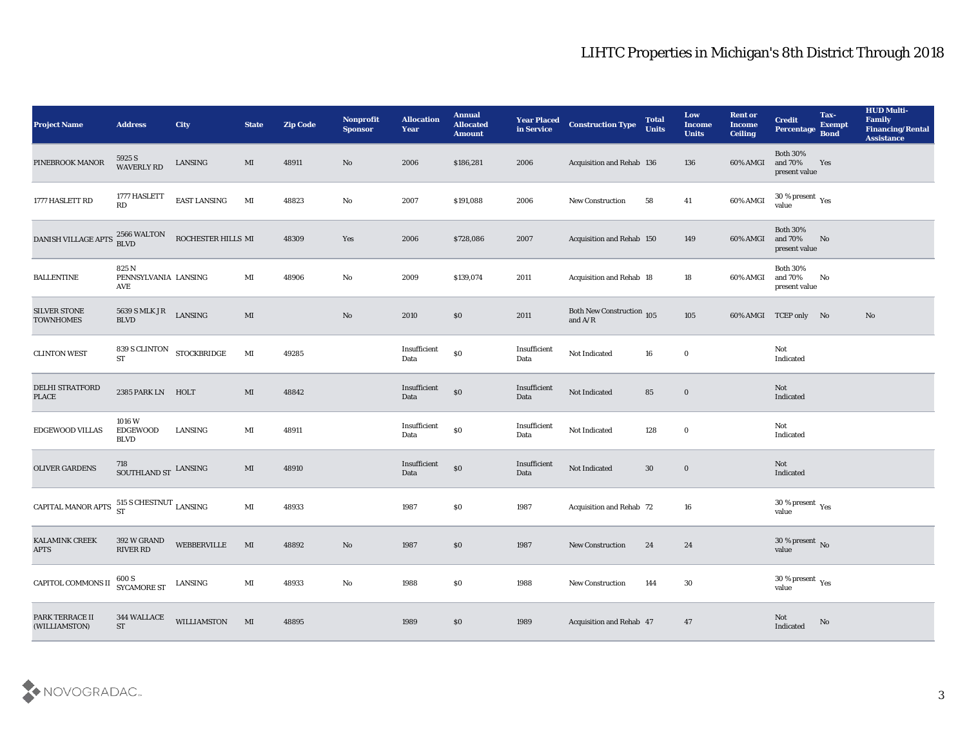| <b>Project Name</b>                                | <b>Address</b>                           | <b>City</b>        | <b>State</b>           | <b>Zip Code</b> | Nonprofit<br><b>Sponsor</b> | <b>Allocation</b><br><b>Year</b> | <b>Annual</b><br><b>Allocated</b><br><b>Amount</b> | <b>Year Placed</b><br>in Service | <b>Construction Type</b>                   | <b>Total</b><br><b>Units</b> | Low<br><b>Income</b><br><b>Units</b> | <b>Rent or</b><br><b>Income</b><br><b>Ceiling</b> | <b>Credit</b><br>Percentage                    | Tax-<br><b>Exempt</b><br><b>Bond</b> | <b>HUD Multi-</b><br>Family<br><b>Financing/Rental</b><br><b>Assistance</b> |
|----------------------------------------------------|------------------------------------------|--------------------|------------------------|-----------------|-----------------------------|----------------------------------|----------------------------------------------------|----------------------------------|--------------------------------------------|------------------------------|--------------------------------------|---------------------------------------------------|------------------------------------------------|--------------------------------------|-----------------------------------------------------------------------------|
| PINEBROOK MANOR                                    | 5925 S<br><b>WAVERLY RD</b>              | ${\rm LANSING}$    | MI                     | 48911           | No                          | 2006                             | \$186,281                                          | 2006                             | Acquisition and Rehab 136                  |                              | 136                                  | 60% AMGI                                          | <b>Both 30%</b><br>and 70%<br>present value    | Yes                                  |                                                                             |
| 1777 HASLETT RD                                    | 1777 HASLETT<br>RD                       | EAST LANSING       | MI                     | 48823           | No                          | 2007                             | \$191,088                                          | 2006                             | New Construction                           | 58                           | 41                                   | 60% AMGI                                          | $30\,\%$ present $\,$ Yes value                |                                      |                                                                             |
| DANISH VILLAGE APTS                                | 2566 WALTON<br><b>BLVD</b>               | ROCHESTER HILLS MI |                        | 48309           | Yes                         | 2006                             | \$728,086                                          | 2007                             | Acquisition and Rehab 150                  |                              | 149                                  | 60% AMGI                                          | <b>Both 30%</b><br>and 70%<br>present value    | No                                   |                                                                             |
| <b>BALLENTINE</b>                                  | 825N<br>PENNSYLVANIA LANSING<br>AVE      |                    | MI                     | 48906           | $\mathbf{N}\mathbf{o}$      | 2009                             | \$139,074                                          | 2011                             | Acquisition and Rehab 18                   |                              | 18                                   | 60% AMGI                                          | <b>Both 30%</b><br>and $70\%$<br>present value | No                                   |                                                                             |
| <b>SILVER STONE</b><br><b>TOWNHOMES</b>            | 5639 S MLK JR<br>$\operatorname{BLVD}$   | LANSING            | $\mathbf{M}\mathbf{I}$ |                 | $\rm\thinspace No$          | 2010                             | \$0                                                | 2011                             | Both New Construction 105<br>and $\rm A/R$ |                              | 105                                  |                                                   | 60% AMGI TCEP only No                          |                                      | No                                                                          |
| <b>CLINTON WEST</b>                                | 839 S CLINTON STOCKBRIDGE<br><b>ST</b>   |                    | $\mathbf{M}\mathbf{I}$ | 49285           |                             | Insufficient<br>Data             | $\$0$                                              | Insufficient<br>Data             | Not Indicated                              | 16                           | $\bf{0}$                             |                                                   | Not<br>Indicated                               |                                      |                                                                             |
| DELHI STRATFORD<br><b>PLACE</b>                    | 2385 PARK LN HOLT                        |                    | MI                     | 48842           |                             | Insufficient<br>Data             | $\$0$                                              | Insufficient<br>Data             | Not Indicated                              | 85                           | $\bf{0}$                             |                                                   | Not<br>Indicated                               |                                      |                                                                             |
| <b>EDGEWOOD VILLAS</b>                             | 1016 W<br><b>EDGEWOOD</b><br><b>BLVD</b> | <b>LANSING</b>     | MI                     | 48911           |                             | Insufficient<br>Data             | $\$0$                                              | Insufficient<br>Data             | Not Indicated                              | 128                          | $\bf{0}$                             |                                                   | Not<br>Indicated                               |                                      |                                                                             |
| <b>OLIVER GARDENS</b>                              | 718<br>SOUTHLAND ST LANSING              |                    | MI                     | 48910           |                             | Insufficient<br>Data             | $\$0$                                              | Insufficient<br>Data             | Not Indicated                              | 30                           | $\bf{0}$                             |                                                   | Not<br>Indicated                               |                                      |                                                                             |
| CAPITAL MANOR APTS $^{515}_{ST}$ SCHESTNUT LANSING |                                          |                    | $\mathbf{M}$ I         | 48933           |                             | 1987                             | \$0                                                | 1987                             | Acquisition and Rehab 72                   |                              | 16                                   |                                                   | $30\,\%$ present $\,$ Yes value                |                                      |                                                                             |
| <b>KALAMINK CREEK</b><br><b>APTS</b>               | 392 W GRAND<br><b>RIVER RD</b>           | <b>WEBBERVILLE</b> | MI                     | 48892           | No                          | 1987                             | \$0                                                | 1987                             | <b>New Construction</b>                    | 24                           | 24                                   |                                                   | 30 % present No<br>value                       |                                      |                                                                             |
| CAPITOL COMMONS II                                 | 600 S<br>SYCAMORE ST                     | LANSING            | MI                     | 48933           | $\rm\thinspace No$          | 1988                             | $\$0$                                              | 1988                             | New Construction                           | 144                          | $30\,$                               |                                                   | 30 % present $\gamma_{\rm es}$<br>value        |                                      |                                                                             |
| PARK TERRACE II<br>(WILLIAMSTON)                   | 344 WALLACE<br>$\operatorname{ST}$       | WILLIAMSTON        | MI                     | 48895           |                             | 1989                             | \$0                                                | 1989                             | Acquisition and Rehab 47                   |                              | 47                                   |                                                   | $\operatorname{\mathsf{Not}}$<br>Indicated     | No                                   |                                                                             |

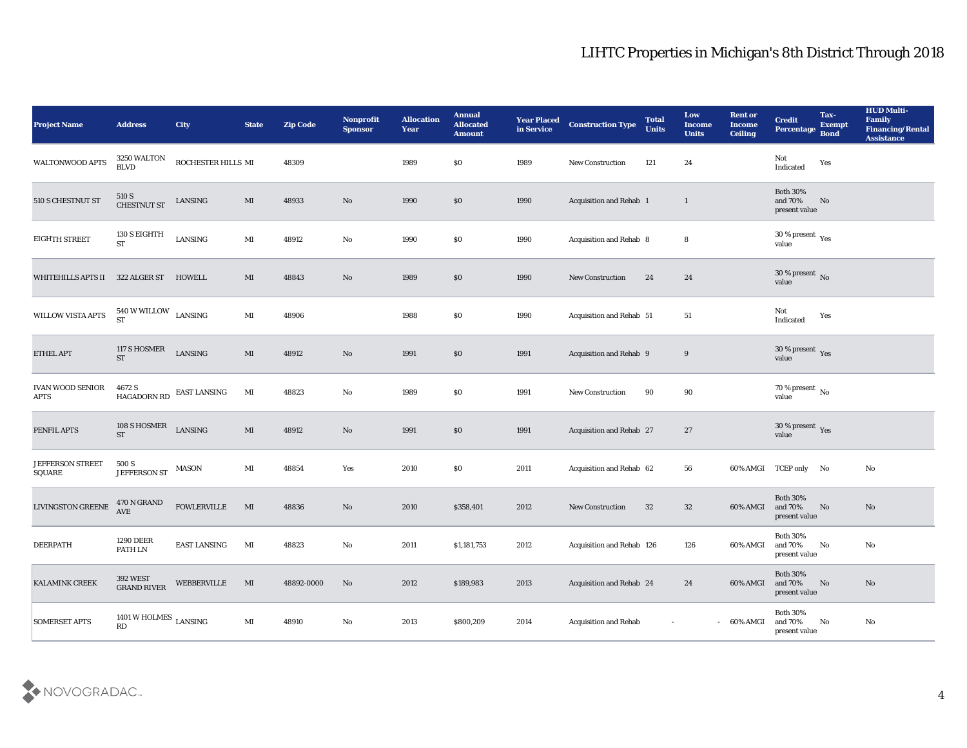| <b>Project Name</b>                                         | <b>Address</b>                       | <b>City</b>         | <b>State</b>           | <b>Zip Code</b> | Nonprofit<br><b>Sponsor</b> | <b>Allocation</b><br><b>Year</b> | <b>Annual</b><br><b>Allocated</b><br><b>Amount</b> | <b>Year Placed</b><br>in Service | <b>Construction Type</b>        | <b>Total</b><br><b>Units</b> | Low<br><b>Income</b><br><b>Units</b> | <b>Rent or</b><br><b>Income</b><br><b>Ceiling</b> | <b>Credit</b><br>Percentage                          | Tax-<br><b>Exempt</b><br><b>Bond</b> | <b>HUD Multi-</b><br>Family<br><b>Financing/Rental</b><br><b>Assistance</b> |
|-------------------------------------------------------------|--------------------------------------|---------------------|------------------------|-----------------|-----------------------------|----------------------------------|----------------------------------------------------|----------------------------------|---------------------------------|------------------------------|--------------------------------------|---------------------------------------------------|------------------------------------------------------|--------------------------------------|-----------------------------------------------------------------------------|
| WALTONWOOD APTS                                             | 3250 WALTON<br><b>BLVD</b>           | ROCHESTER HILLS MI  |                        | 48309           |                             | 1989                             | \$0                                                | 1989                             | New Construction                | 121                          | 24                                   |                                                   | Not<br>$\operatorname{Indicated}$                    | Yes                                  |                                                                             |
| 510 S CHESTNUT ST                                           | $510~\mathrm{S}$ CHESTNUT ST         | ${\rm LANSING}$     | MI                     | 48933           | No                          | 1990                             | \$0                                                | 1990                             | Acquisition and Rehab 1         |                              | $\mathbf{1}$                         |                                                   | <b>Both 30%</b><br>and 70%<br>present value          | No                                   |                                                                             |
| <b>EIGHTH STREET</b>                                        | 130 S EIGHTH<br><b>ST</b>            | LANSING             | $\mathbf{M}$ I         | 48912           | $\rm\thinspace No$          | 1990                             | \$0                                                | 1990                             | Acquisition and Rehab 8         |                              | 8                                    |                                                   | 30 % present $\rm\thinspace\gamma_{\rm es}$<br>value |                                      |                                                                             |
| WHITEHILLS APTS II                                          | 322 ALGER ST                         | HOWELL              | MI                     | 48843           | No                          | 1989                             | \$0                                                | 1990                             | <b>New Construction</b>         | 24                           | 24                                   |                                                   | $30\,\%$ present $\,$ No value                       |                                      |                                                                             |
| WILLOW VISTA APTS                                           | $540$ W WILLOW $$\tt LANSING$$       |                     | MI                     | 48906           |                             | 1988                             | \$0                                                | 1990                             | Acquisition and Rehab 51        |                              | 51                                   |                                                   | Not<br>Indicated                                     | Yes                                  |                                                                             |
| ETHEL APT                                                   | 117 S HOSMER<br><b>ST</b>            | LANSING             | $\mathbf{M}\mathbf{I}$ | 48912           | No                          | 1991                             | \$0                                                | 1991                             | Acquisition and Rehab 9         |                              | 9                                    |                                                   | $30\,\%$ present $\,$ Yes value                      |                                      |                                                                             |
| <b>IVAN WOOD SENIOR</b><br><b>APTS</b>                      | 4672 S<br>HAGADORN RD                | <b>EAST LANSING</b> | MI                     | 48823           | No                          | 1989                             | \$0                                                | 1991                             | <b>New Construction</b>         | 90                           | 90                                   |                                                   | $70\,\%$ present $\,$ No value                       |                                      |                                                                             |
| PENFIL APTS                                                 | 108 S HOSMER<br><b>ST</b>            | LANSING             | $\mathbf{M}\mathbf{I}$ | 48912           | No                          | 1991                             | \$0                                                | 1991                             | <b>Acquisition and Rehab 27</b> |                              | 27                                   |                                                   | $30\,\%$ present $\,$ Yes value                      |                                      |                                                                             |
| <b>JEFFERSON STREET</b><br>$\operatorname{\mathsf{SQUARE}}$ | 500 S<br>JEFFERSON ST                | MASON               | MI                     | 48854           | Yes                         | 2010                             | \$0                                                | 2011                             | Acquisition and Rehab 62        |                              | 56                                   |                                                   | 60% AMGI TCEP only No                                |                                      | No                                                                          |
| <b>LIVINGSTON GREENE</b>                                    | 470 N GRAND<br><b>AVE</b>            | <b>FOWLERVILLE</b>  | MI                     | 48836           | No                          | 2010                             | \$358,401                                          | 2012                             | <b>New Construction</b>         | 32                           | 32                                   | 60% AMGI                                          | <b>Both 30%</b><br>and 70%<br>present value          | No                                   | No                                                                          |
| <b>DEERPATH</b>                                             | <b>1290 DEER</b><br>PATH LN          | <b>EAST LANSING</b> | MI                     | 48823           | No                          | 2011                             | \$1,181,753                                        | 2012                             | Acquisition and Rehab 126       |                              | 126                                  | 60% AMGI                                          | <b>Both 30%</b><br>and 70%<br>$\,$ present value     | No                                   | No                                                                          |
| KALAMINK CREEK                                              | 392 WEST<br>GRAND RIVER              | WEBBERVILLE         | MI                     | 48892-0000      | $\rm \bf No$                | 2012                             | \$189,983                                          | 2013                             | Acquisition and Rehab 24        |                              | 24                                   | 60% AMGI                                          | Both $30\%$<br>and $70\%$<br>present value           | No                                   | $\rm\thinspace No$                                                          |
| <b>SOMERSET APTS</b>                                        | 1401 W HOLMES $_{\rm LANSING}$<br>RD |                     | $\mathbf{M}\mathbf{I}$ | 48910           | $\mathbf {No}$              | 2013                             | \$800,209                                          | 2014                             | <b>Acquisition and Rehab</b>    | $\sim$                       |                                      | $-60\%$ AMGI                                      | Both $30\%$<br>and 70%<br>present value              | No                                   | $\rm\thinspace No$                                                          |

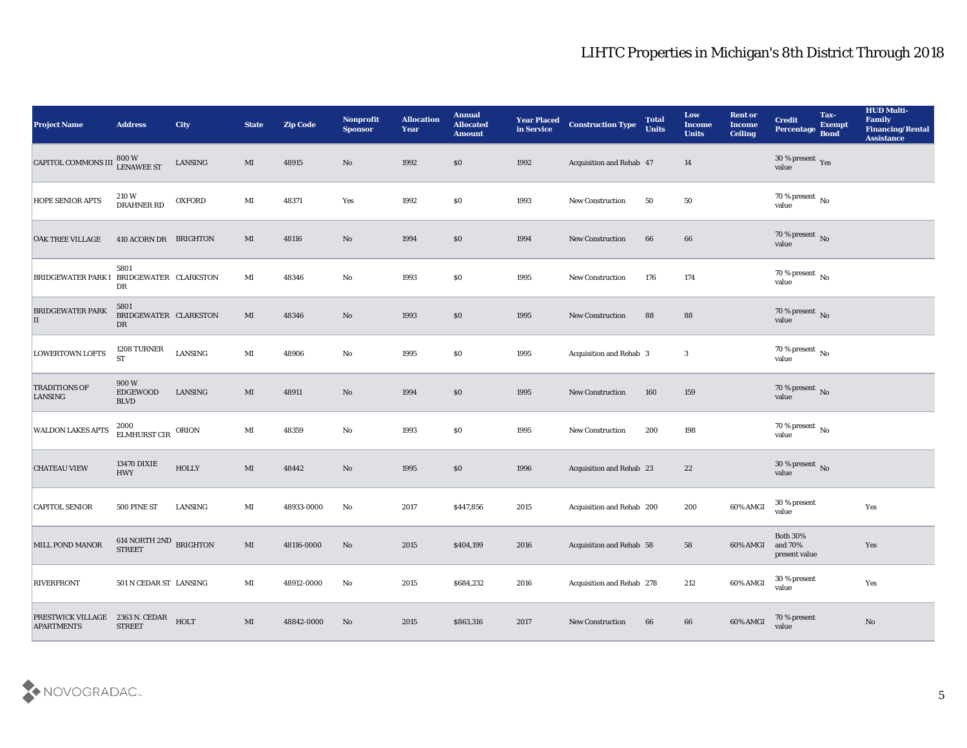| <b>Project Name</b>                                       | <b>Address</b>                                                             | <b>City</b>   | <b>State</b> | <b>Zip Code</b> | Nonprofit<br><b>Sponsor</b> | <b>Allocation</b><br><b>Year</b> | <b>Annual</b><br><b>Allocated</b><br><b>Amount</b> | <b>Year Placed</b><br>in Service | <b>Construction Type</b>        | <b>Total</b><br><b>Units</b> | Low<br><b>Income</b><br><b>Units</b> | <b>Rent or</b><br><b>Income</b><br><b>Ceiling</b> | <b>Credit</b><br>Percentage                 | Tax-<br><b>Exempt</b><br><b>Bond</b> | <b>HUD Multi-</b><br>Family<br><b>Financing/Rental</b><br><b>Assistance</b> |
|-----------------------------------------------------------|----------------------------------------------------------------------------|---------------|--------------|-----------------|-----------------------------|----------------------------------|----------------------------------------------------|----------------------------------|---------------------------------|------------------------------|--------------------------------------|---------------------------------------------------|---------------------------------------------|--------------------------------------|-----------------------------------------------------------------------------|
| CAPITOL COMMONS III                                       | $\begin{array}{c} \text{ } 800 \text{ W} \\ \text{LENAWEE ST} \end{array}$ | LANSING       | $\mathbf{M}$ | 48915           | No                          | 1992                             | \$0                                                | 1992                             | Acquisition and Rehab 47        |                              | 14                                   |                                                   | $30\,\%$ present $\,$ Yes value             |                                      |                                                                             |
| <b>HOPE SENIOR APTS</b>                                   | 210 W<br>DRAHNER RD                                                        | <b>OXFORD</b> | MI           | 48371           | Yes                         | 1992                             | $\$0$                                              | 1993                             | <b>New Construction</b>         | 50                           | 50                                   |                                                   | $70\,\%$ present $\,$ No value              |                                      |                                                                             |
| <b>OAK TREE VILLAGE</b>                                   | 410 ACORN DR BRIGHTON                                                      |               | MI           | 48116           | No                          | 1994                             | \$0                                                | 1994                             | <b>New Construction</b>         | 66                           | 66                                   |                                                   | $70\,\%$ present $\,$ No value              |                                      |                                                                             |
| <b>BRIDGEWATER PARK I</b>                                 | 5801<br>BRIDGEWATER CLARKSTON<br>DR                                        |               | MI           | 48346           | No                          | 1993                             | \$0                                                | 1995                             | <b>New Construction</b>         | 176                          | 174                                  |                                                   | $70\,\%$ present $\,$ No value              |                                      |                                                                             |
| <b>BRIDGEWATER PARK</b><br>$\vert \mathrm{II} \vert$      | 5801<br>BRIDGEWATER CLARKSTON<br>DR                                        |               | MI           | 48346           | No                          | 1993                             | \$0                                                | 1995                             | <b>New Construction</b>         | 88                           | 88                                   |                                                   | $70\,\%$ present $\,$ No value              |                                      |                                                                             |
| <b>LOWERTOWN LOFTS</b>                                    | 1208 TURNER<br><b>ST</b>                                                   | LANSING       | $\bf MI$     | 48906           | $\mathbf{N}\mathbf{o}$      | 1995                             | \$0                                                | 1995                             | Acquisition and Rehab 3         |                              | $\mathbf{3}$                         |                                                   | $70\,\%$ present $\,$ No value              |                                      |                                                                             |
| <b>TRADITIONS OF</b><br>LANSING                           | 900W<br>EDGEWOOD<br><b>BLVD</b>                                            | LANSING       | MI           | 48911           | No                          | 1994                             | \$0                                                | 1995                             | <b>New Construction</b>         | 160                          | 159                                  |                                                   | $70$ % present $\,$ No $\,$ value           |                                      |                                                                             |
| <b>WALDON LAKES APTS</b>                                  | 2000<br><b>ELMHURST CIR</b>                                                | ORION         | MI           | 48359           | No                          | 1993                             | \$0                                                | 1995                             | <b>New Construction</b>         | 200                          | 198                                  |                                                   | 70 % present No<br>value                    |                                      |                                                                             |
| <b>CHATEAU VIEW</b>                                       | <b>13470 DIXIE</b><br><b>HWY</b>                                           | <b>HOLLY</b>  | $\mathbf{M}$ | 48442           | No                          | 1995                             | \$0                                                | 1996                             | Acquisition and Rehab 23        |                              | 22                                   |                                                   | $30\,\%$ present $\,$ No value              |                                      |                                                                             |
| <b>CAPITOL SENIOR</b>                                     | 500 PINE ST                                                                | LANSING       | MI           | 48933-0000      | No                          | 2017                             | \$447,856                                          | 2015                             | Acquisition and Rehab 200       |                              | 200                                  | 60% AMGI                                          | $30\,\%$ present<br>value                   |                                      | Yes                                                                         |
| <b>MILL POND MANOR</b>                                    | $614$ NORTH $2\mathrm{ND}$ BRIGHTON<br><b>STREET</b>                       |               | MI           | 48116-0000      | No                          | 2015                             | \$404,199                                          | 2016                             | <b>Acquisition and Rehab 58</b> |                              | 58                                   | 60% AMGI                                          | <b>Both 30%</b><br>and 70%<br>present value |                                      | Yes                                                                         |
| <b>RIVERFRONT</b>                                         | 501 N CEDAR ST LANSING                                                     |               | $\mathbf{M}$ | 48912-0000      | No                          | 2015                             | \$684,232                                          | 2016                             | Acquisition and Rehab 278       |                              | 212                                  | 60% AMGI                                          | $30$ % present<br>value                     |                                      | Yes                                                                         |
| PRESTWICK VILLAGE 2363 N. CEDAR HOLT<br><b>APARTMENTS</b> | <b>STREET</b>                                                              |               | $\mathbf{M}$ | 48842-0000      | No                          | 2015                             | \$863,316                                          | 2017                             | New Construction                | 66                           | 66                                   | 60% AMGI                                          | 70 % present<br>value                       |                                      | No                                                                          |